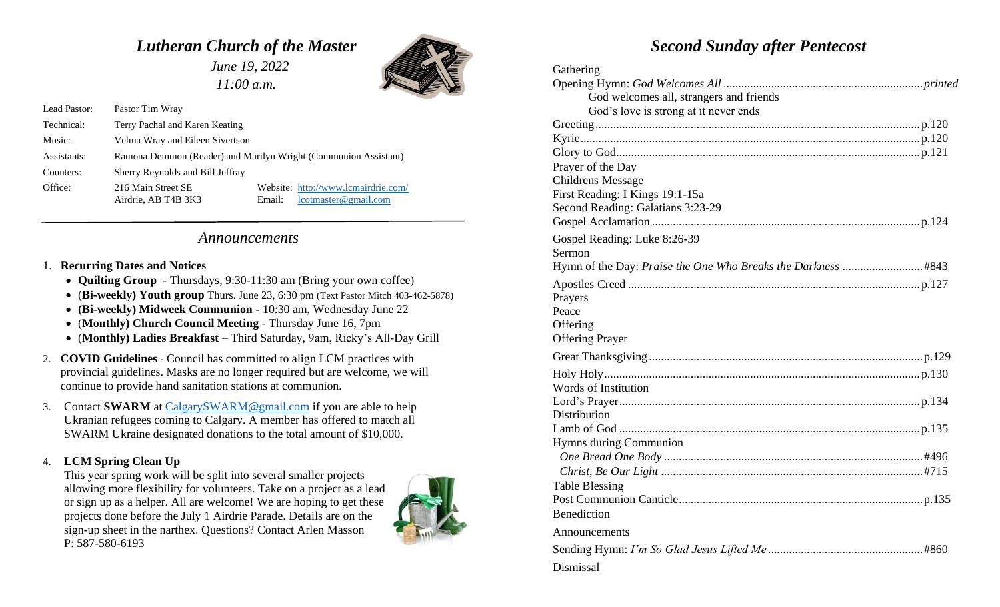## *Lutheran Church of the Master*

 *June 19, 2022 11:00 a.m.*



Lead Pastor: Pastor Tim Wray Technical: Terry Pachal and Karen Keating Music: Velma Wray and Eileen Sivertson Assistants: Ramona Demmon (Reader) and Marilyn Wright (Communion Assistant) Counters: Sherry Reynolds and Bill Jeffray Office: 216 Main Street SE Website:<http://www.lcmairdrie.com/> Airdrie, AB T4B 3K3 Email: [lcotmaster@gmail.com](mailto:lcotmaster@gmail.com)

## *Announcements*

## 1. **Recurring Dates and Notices**

- **Quilting Group**  Thursdays, 9:30-11:30 am (Bring your own coffee)
- (**Bi-weekly) Youth group** Thurs. June 23, 6:30 pm (Text Pastor Mitch 403-462-5878)
- **(Bi-weekly) Midweek Communion -** 10:30 am, Wednesday June 22
- (**Monthly) Church Council Meeting** Thursday June 16, 7pm
- (**Monthly) Ladies Breakfast**  Third Saturday, 9am, Ricky's All-Day Grill
- 2. **COVID Guidelines** Council has committed to align LCM practices with provincial guidelines. Masks are no longer required but are welcome, we will continue to provide hand sanitation stations at communion.
- 3. Contact **SWARM** at [CalgarySWARM@gmail.com](mailto:CalgarySWARM@gmail.com) if you are able to help Ukranian refugees coming to Calgary. A member has offered to match all SWARM Ukraine designated donations to the total amount of \$10,000.

## 4. **LCM Spring Clean Up**

This year spring work will be split into several smaller projects allowing more flexibility for volunteers. Take on a project as a lead or sign up as a helper. All are welcome! We are hoping to get these projects done before the July 1 Airdrie Parade. Details are on the sign-up sheet in the narthex. Questions? Contact Arlen Masson P: 587-580-6193



# *Second Sunday after Pentecost*

| Gathering                               |
|-----------------------------------------|
|                                         |
| God welcomes all, strangers and friends |
| God's love is strong at it never ends   |
|                                         |
|                                         |
|                                         |
| Prayer of the Day                       |
| <b>Childrens Message</b>                |
| First Reading: I Kings 19:1-15a         |
| Second Reading: Galatians 3:23-29       |
|                                         |
| Gospel Reading: Luke 8:26-39            |
| Sermon                                  |
|                                         |
|                                         |
| Prayers                                 |
| Peace                                   |
| Offering                                |
| <b>Offering Prayer</b>                  |
|                                         |
|                                         |
| <b>Words of Institution</b>             |
|                                         |
| Distribution                            |
|                                         |
| Hymns during Communion                  |
|                                         |
|                                         |
| <b>Table Blessing</b>                   |
|                                         |
| Benediction                             |
| Announcements                           |
|                                         |
| Dismissal                               |